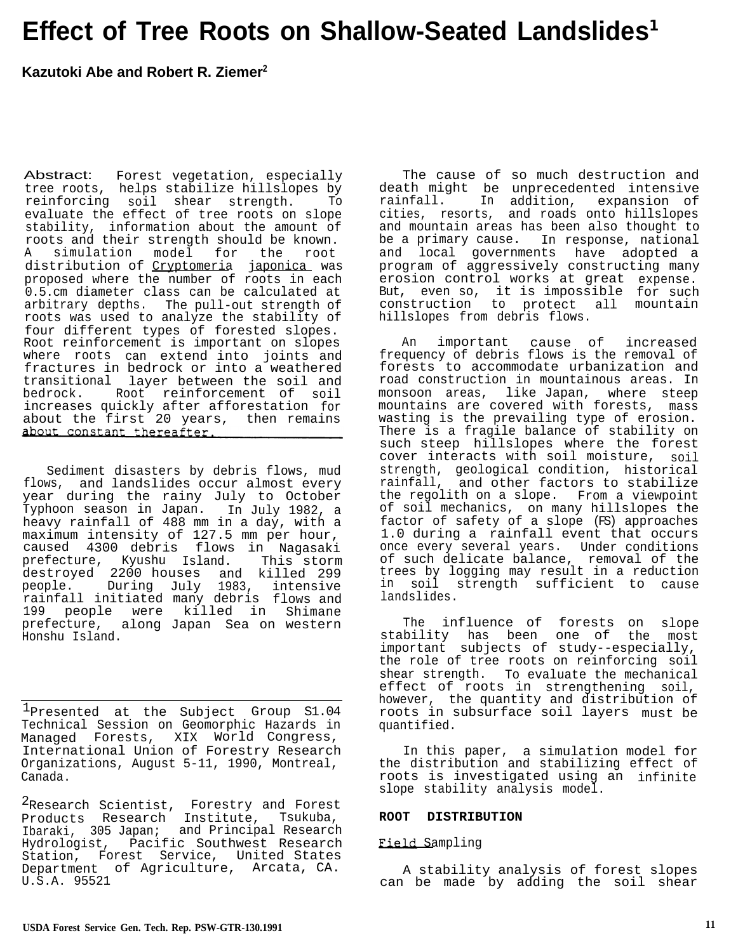# **Effect of Tree Roots on Shallow-Seated Landslides<sup>1</sup>**

# **Kazutoki Abe and Robert R. Ziemer<sup>2</sup>**

Abstract: Forest vegetation, especially tree roots, helps stabilize hillslopes by reinforcing soil shear strength. To evaluate the effect of tree roots on slope stability, information about the amount of roots and their strength should be known. A simulation model for the root distribution of Cryptomeria japonica was proposed where the number of roots in each 0.5.cm diameter class can be calculated at arbitrary depths. The pull-out strength of roots was used to analyze the stability of four different types of forested slopes. Root reinforcement is important on slopes where roots can extend into joints and fractures in bedrock or into a weathered transitional layer between the soil and bedrock. Root reinforcement of soil increases quickly after afforestation for about the first 20 years, then remains

Sediment disasters by debris flows, mud flows, and landslides occur almost every year during the rainy July to October Typhoon season in Japan. In July 1982, a heavy rainfall of 488 mm in a day, with a maximum intensity of 127.5 mm per hour, caused 4300 debris flows in Nagasaki prefecture, Kyushu Island. This storm destroyed 2200 houses and killed 299<br>people. During July 1983, intensive During July 1983, intensive rainfall initiated many debris flows and 199 people were killed in Shimane prefecture, along Japan Sea on western Honshu Island.

<sup>1</sup>Presented at the Subject Group S1.04 Technical Session on Geomorphic Hazards in Managed Forests, XIX World Congress, International Union of Forestry Research Organizations, August 5-11, 1990, Montreal, Canada.

<sup>2</sup>Research Scientist, Forestry and Forest Products Research Institute, Tsukuba, Ibaraki, 305 Japan; and Principal Research Hydrologist, Pacific Southwest Research Station, Forest Service, United States Department of Agriculture, Arcata, CA. U.S.A. 95521

The cause of so much destruction and death might be unprecedented intensive rainfall. In addition, expansion of cities, resorts, and roads onto hillslopes and mountain areas has been also thought to be a primary cause. In response, national and local governments have adopted a program of aggressively constructing many erosion control works at great expense. But,, even so, it is impossible for such construction to protect all mountain hillslopes from debris flows.

An important cause of increased frequency of debris flows is the removal of forests to accommodate urbanization and road construction in mountainous areas. In monsoon areas, like Japan, where steep mountains are covered with forests, mass wasting is the prevailing type of erosion. There is a fragile balance of stability on such steep hillslopes where the forest cover interacts with soil moisture, soil strength, geological condition, historical rainfall, and other factors to stabilize the regolith on a slope. From a viewpoint of soil mechanics, on many hillslopes the factor of safety of a slope (FS) approaches 1.0 during a rainfall event that occurs once every several years. Under conditions of such delicate balance, removal of the trees by logging may result in a reduction in soil strength sufficient to cause landslides.

The influence of forests on slope stability has been one of the most important subjects of study--especially, the role of tree roots on reinforcing soil shear strength. To evaluate the mechanical effect of roots in strengthening soil, however, the quantity and distribution of roots in subsurface soil layers must be quantified.

In this paper, a simulation model for the distribution and stabilizing effect of roots is investigated using an infinite slope stability analysis model.

#### **ROOT DISTRIBUTION**

#### Field Sampling

A stability analysis of forest slopes can be made by adding the soil shear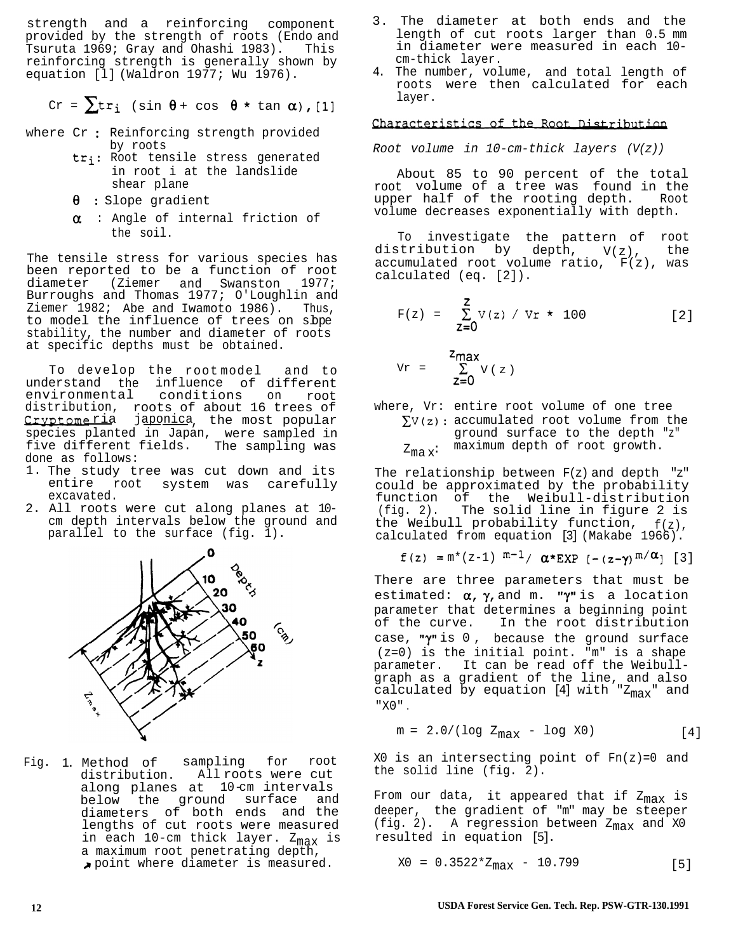strength and a reinforcing component provided by the strength of roots (Endo and Tsuruta 1969; Gray and Ohashi 1983). This reinforcing strength is generally shown by equation [l] (Waldron 1977; Wu 1976).

$$
Cr = \sum tr_i \ (sin \ \theta + cos \ \theta \star tan \ \alpha), [1]
$$

- where Cr : Reinforcing strength provided by roots
	- tr<sub>i</sub>: Root tensile stress generated in root i at the landslide shear plane
	- $\theta$  : Slope gradient
	- $\alpha$  : Angle of internal friction of the soil.

The tensile stress for various species has been reported to be a function of root diameter (Ziemer and Swanston 1977; Burroughs and Thomas 1977; O'Loughlin and Ziemer 1982; Abe and Iwamoto 1986). Thus, to model the influence of trees on slope stability, the number and diameter of roots at specific depths must be obtained.

To develop the root model and to understand the influence of different<br>environmental conditions on root conditions on root distribution, roots of about 16 trees of Cryptomeria japonica, the most popular species planted in Japan, were sampled in five different fields. The sampling was done as follows:

- 1. The study tree was cut down and its entire root system was carefully excavated.
- 2. All roots were cut along planes at 10 cm depth intervals below the ground and parallel to the surface (fig. 1).



Fig. 1. Method of sampling for root distribution. All roots were cut along planes at 10-cm intervals below the ground surface and diameters of both ends and the lengths of cut roots were measured in each 10-cm thick layer. Z<sub>max</sub> is a maximum root penetrating depth, )r point where diameter is measured.

- 3. The diameter at both ends and the length of cut roots larger than 0.5 mm in diameter were measured in each 10 cm-thick layer.
- 4. The number, volume, and total length of roots were then calculated for each layer.

# Characteristics of the Root Distribution

*Root volume in 10-cm-thick layers (V(z))*

About 85 to 90 percent of the total root volume of a tree was found in the upper half of the rooting depth. Root volume decreases exponentially with depth.

To investigate the pattern of root distribution by depth,  $V(z)$ , the accumulated root volume ratio, F(z), was calculated (eq. [2]).

$$
F(z) = \sum_{z=0}^{z} V(z) / Vr \star 100
$$
 [2]

$$
v_r = \sum_{z=0}^{z_{max}} v(z)
$$

where, Vr: entire root volume of one tree  $\sum V(z)$ : accumulated root volume from the ground surface to the depth "z"  $Z_{max}$ : maximum depth of root growth.

The relationship between F(z) and depth "z" could be approximated by the probability function of the Weibull-distribution (fig. 2). The solid line in figure 2 is the Weibull probability function,  $f(z)$ , calculated from equation [3] (Makabe 1966).

$$
f(z) = m^*(z-1) m^{-1} / \alpha * EXP [-(z-\gamma) m/\alpha] [3]
$$

There are three parameters that must be estimated:  $\alpha$ ,  $\gamma$ , and m. " $\gamma$ " is a location parameter that determines a beginning point of the curve. In the root distribution case, " $\gamma$ " is 0, because the ground surface (z=0) is the initial point. "m" is a shape parameter. It can be read off the Weibullgraph as a gradient of the line, and also calculated by equation [4] with " $z_{max}$ " and "X0" .

 $m = 2.0/(log Z_{max} - log X0)$  [4]

 $X0$  is an intersecting point of  $Fn(z)=0$  and the solid line (fig. 2).

From our data, it appeared that if  $z_{max}$  is deeper, the gradient of "m" may be steeper (fig. 2). A regression between  $Z_{max}$  and X0 resulted in equation [5].

$$
x0 = 0.3522 \times Z_{\text{max}} - 10.799
$$
 [5]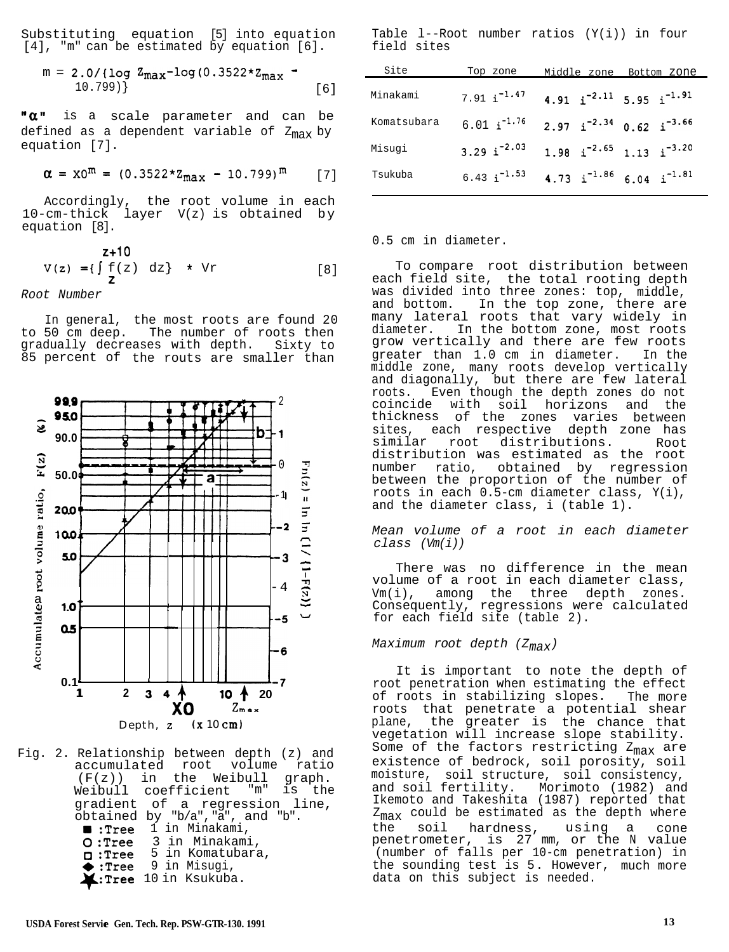Substituting equation [5] into equation [4], "m" can be estimated by equation [6].

$$
m = 2.0 / \{ \log Z_{\text{max}} - \log(0.3522 \times Z_{\text{max}} - 10.799) \}
$$
 [6]

"a" is a scale parameter and can be defined as a dependent variable of  $Z_{max}$  by equation [7].

$$
\alpha = x0^{\rm m} = (0.3522 \times z_{\rm max} - 10.799)^{\rm m} \qquad [7]
$$

Accordingly, the root volume in each 10-cm-thick layer V(z) is obtained by equation [8].

$$
V(z) = \{ \int \begin{array}{c} z+10 \\ f(z) \end{array} dz \} \star \tVr
$$
 [8]

*Root Number*

In general, the most roots are found 20 to 50 cm deep. The number of roots then gradually decreases with depth. Sixty to 85 percent of the routs are smaller than



Fig. 2. Relationship between depth (z) and accumulated root volume ratio<br>( $F(z)$ ) in the Weibull graph.  $(F(z))$  in the Weibull Weibull coefficient "m" is the gradient of a regression line, obtained by "b/a","a", and "b". <sup>m</sup> *:Tree* 1 in Minakami, 0 :Tree 3 in Minakami, 0 :Tree 5 in Komatubara,  $\bullet$  :Tree 9 in Misugi,  $\blacktriangle$ : Tree 10 in Ksukuba.

Table l--Root number ratios (Y(i)) in four field sites

| Site        | Top zone                 | Middle zone                                       | Bottom zone |
|-------------|--------------------------|---------------------------------------------------|-------------|
| Minakami    | $7.91 i^{-1.47}$         | 4.91 $i^{-2.11}$ 5.95 $i^{-1.91}$                 |             |
| Komatsubara | $6.01 \text{ i}^{-1.76}$ | $2.97 \text{ i}^{-2.34}$ 0.62 i <sup>-3.66</sup>  |             |
| Misuqi      | 3.29 $i^{-2.03}$         | $1.98$ i <sup>-2.65</sup> 1.13 i <sup>-3.20</sup> |             |
| Tsukuba     | $6.43 \text{ i}^{-1.53}$ | 4.73 $i^{-1.86}$ 6.04 $i^{-1.81}$                 |             |

#### 0.5 cm in diameter.

To compare root distribution between each field site, the total rooting depth was divided into three zones: top, middle, and bottom. In the top zone, there are many lateral roots that vary widely in diameter. In the bottom zone, most roots grow vertically and there are few roots greater than 1.0 cm in diameter. In the middle zone, many roots develop vertically and diagonally, but there are few lateral roots. Even though the depth zones do not coincide with soil horizons and the thickness of the zones varies between sites, each respective depth zone has similar root distributions. Root distribution was estimated as the root number ratio, obtained by regression between the proportion of the number of roots in each 0.5-cm diameter class, Y(i), and the diameter class, i (table 1).

*Mean volume of a root in each diameter class (Vm(i))*

There was no difference in the mean volume of a root in each diameter class, Vm(i), among the three depth zones. Consequently, regressions were calculated for each field site (table 2).

*Maximum root depth (Zmax)*

It is important to note the depth of root penetration when estimating the effect of roots in stabilizing slopes. The more roots that penetrate a potential shear plane, the greater is the chance that vegetation will increase slope stability. Some of the factors restricting  $Z_{max}$  are existence of bedrock, soil porosity, soil moisture, soil structure, soil consistency, and soil fertility. Morimoto (1982) and Ikemoto and Takeshita (1987) reported that  $Z_{\text{max}}$  could be estimated as the depth where<br>the soil hardness, using a cone the soil hardness, using a cone penetrometer, is 27 mm, or the N value (number of falls per 10-cm penetration) in the sounding test is 5. However, much more data on this subject is needed.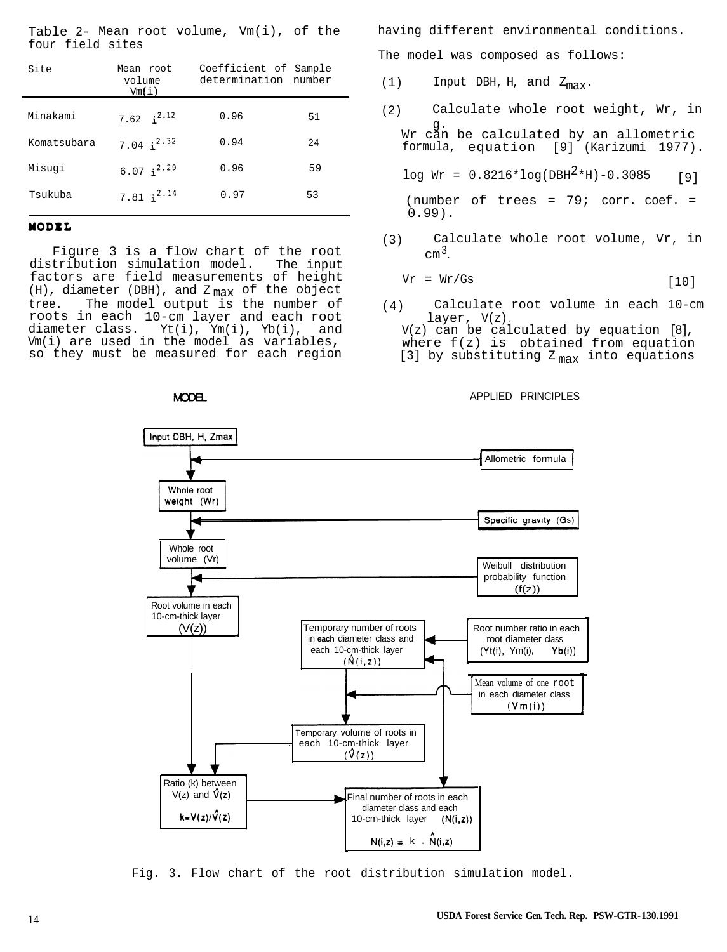Table 2- Mean root volume,  $Vm(i)$ , of the four field sites

| Site        | Mean root<br>volume<br>Vm(i) | Coefficient of Sample<br>determination number |    |
|-------------|------------------------------|-----------------------------------------------|----|
| Minakami    | 7.62 $i^{2.12}$              | 0.96                                          | 51 |
| Komatsubara | 7.04 $i^{2.32}$              | 0.94                                          | 24 |
| Misugi      | $6.07 \text{ i}^{2.29}$      | 0.96                                          | 59 |
| Tsukuba     | 7.81 $i^{2.14}$              | 0.97                                          | 53 |

## MODEL

Figure 3 is a flow chart of the root distribution simulation model. The input factors are field measurements of height (H), diameter (DBH), and  $\rm z_{max}$  of the object<br>tree. The model output is the number of The model output is the number of roots in each 10-cm layer and each root<br>diameter class. Yt(i), Ym(i), Yb(i), and  $Yt(i)$ ,  $Ym(i)$ ,  $Yb(i)$ , and Vm(i) are used in the model as variables, so they must be measured for each region having different environmental conditions.

The model was composed as follows:

- (1) Input DBH, H, and  $Z_{\text{max}}$ .
- (2) Calculate whole root weight, Wr, in g. Wr can be calculated by an allometric formula, equation [9] (Karizumi 1977).

 $log Wr = 0.8216*log(DBH<sup>2</sup>*H)-0.3085$  [9]

(number of trees =  $79$ ; corr. coef. =  $0.99$ ).

(3) Calculate whole root volume, Vr, in  $cm<sup>3</sup>$ .

$$
Vr = Wr/Gs
$$
 [10]

- (4) Calculate root volume in each 10-cm layer,  $V(z)$ .
	- V(z) can be calculated by equation [8], where f(z) is obtained from equation [3] by substituting  $Z_{\text{max}}$  into equations

APPLIED PRINCIPLES



Fig. 3. Flow chart of the root distribution simulation model.

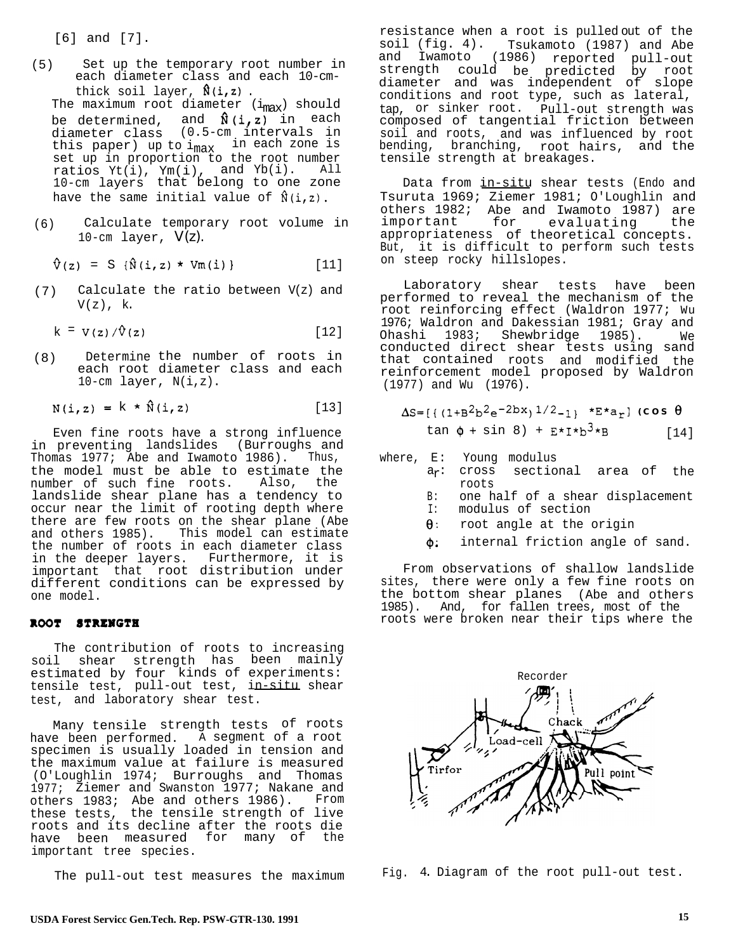[6] and [7].

(5) Set up the temporary root number in each diameter class and each 10-cmthick soil layer,  $\hat{\mathfrak{h}}(i,z)$  .

The maximum root diameter  $(i_{max})$  should be determined, and  $\mathbf{\hat{N}}$ (i,z) in each diameter class (0.5-cm intervals in this paper) up to i<sub>max</sub> in each zone is<br>set up in proportion to the root number ratios Yt(i), Ym(i), and Yb(i). All 10-cm layers that belong to one zone have the same initial value of  $\hat{\mathfrak{h}}(i,z)$ .

(6) Calculate temporary root volume in 10-cm layer,  $V(z)$ .

 $\hat{V}(z) = S \{\hat{N}(i, z) \star Vm(i)\}\$  [11]

(7) Calculate the ratio between V(z) and  $V(z)$ , k.

$$
k = V(z) / \hat{V}(z)
$$
 [12]

(8) Determine the number of roots in each root diameter class and each 10-cm layer, N(i,z).

$$
N(i, z) = k \star \hat{N}(i, z)
$$
 [13]

Even fine roots have a strong influence in preventing landslides (Burroughs and Thomas 1977; Abe and Iwamoto 1986). Thus, the model must be able to estimate the number of such fine roots. Also, the landslide shear plane has a tendency to occur near the limit of rooting depth where there are few roots on the shear plane (Abe and others 1985). This model can estimate the number of roots in each diameter class in the deeper layers. Furthermore, it is important that root distribution under different conditions can be expressed by one model.

## ROOT STRENGTH

The contribution of roots to increasing soil shear strength has been mainly estimated by four kinds of experiments: tensile test, pull-out test, in-situ shear test, and laboratory shear test.

Many tensile strength tests of roots have been performed. A segment of a root specimen is usually loaded in tension and the maximum value at failure is measured (O'Loughlin 1974; Burroughs and Thomas 1977; Ziemer and Swanston 1977; Nakane and others 1983; Abe and others 1986). From these tests, the tensile strength of live roots and its decline after the roots die have been measured for many of the important tree species.

resistance when a root is pulled out of the soil (fig. 4). Tsukamoto (1987) and Abe and Iwamoto (1986) reported pull-out strength could be predicted by root diameter and was independent of slope conditions and root type, such as lateral, tap, or sinker root. Pull-out strength was composed of tangential friction between soil and roots, and was influenced by root bending, branching, root hairs, and the tensile strength at breakages.

Data from in-situ shear tests (Endo and Tsuruta 1969; Ziemer 1981; O'Loughlin and others 1982; Abe and Iwamoto 1987) are important for evaluating the appropriateness of theoretical concepts. But, it is difficult to perform such tests on steep rocky hillslopes.

Laboratory shear tests have been performed to reveal the mechanism of the .<br>root reinforcing effect (Waldron 1977; Wu 1976; Waldron and Dakessian 1981; Gray and Ohashi 1983; Shewbridge 1985). We conducted direct shear tests using sand that contained roots and modified the reinforcement model proposed by Waldron (1977) and Wu (1976).

$$
\Delta S = \left[ \left\{ (1+B^2b^2e^{-2bx})^{1/2} - 1 \right\} \right. \times E \times a_T \right] \text{ (cos } \theta
$$
  
tan  $\phi$  + sin 8) + E \times I \times b^3 \times B \qquad [14]

where, E: Young modulus

- a<sub>r</sub>: cross sectional area of the roots
- B: one half of a shear displacement<br>I: modulus of section
- modulus of section
- $\theta$  : root angle at the origin
- $\phi$ : internal friction angle of sand.

From observations of shallow landslide sites, there were only a few fine roots on the bottom shear planes (Abe and others 1985). And, for fallen trees, most of the roots were broken near their tips where the



The pull-out test measures the maximum Fig. 4. Diagram of the root pull-out test.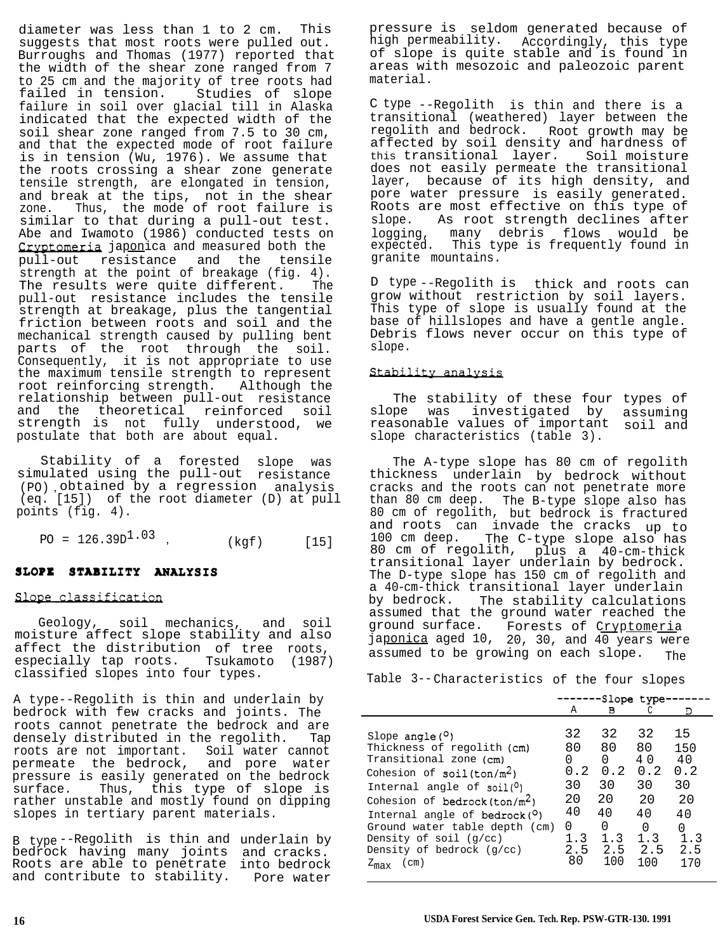diameter was less than 1 to 2 cm. This suggests that most roots were pulled out. Burroughs and Thomas (1977) reported that the width of the shear zone ranged from 7 to 25 cm and the majority of tree roots had failed in tension. Studies of slope failure in soil over glacial till in Alaska indicated that the expected width of the soil shear zone ranged from 7.5 to 30 cm, and that the expected mode of root failure is in tension (Wu, 1976). We assume that the roots crossing a shear zone generate tensile strength, are elongated in tension, and break at the tips, not in the shear zone. Thus, the mode of root failure is similar to that during a pull-out test. Abe and Iwamoto (1986) conducted tests on Cryptomeria japonica and measured both the pull-out resistance and the tensile strength at the point of breakage (fig. 4). The results were quite different. The pull-out resistance includes the tensile strength at breakage, plus the tangential friction between roots and soil and the mechanical strength caused by pulling bent parts of the root through the soil. Consequently, it is not appropriate to use the maximum tensile strength to represent root reinforcing strength. Although the relationship between pull-out resistance and the theoretical reinforced soil strength is not fully understood, we postulate that both are about equal.

Stability of a forested slope was simulated using the pull-out resistance (PO) , obtained by a regression analysis (eq. [15]) of the root diameter (D) at pull points (fig. 4).

 $PO = 126.39D^{1.03}$ , (kgf) [15]

## SLOPE STABILITY ANALYSIS

## Slope classification

Geology, soil mechanics, and soil moisture affect slope stability and also affect the distribution of tree roots, especially tap roots. Tsukamoto (1987) classified slopes into four types.

A type--Regolith is thin and underlain by bedrock with few cracks and joints. The roots cannot penetrate the bedrock and are densely distributed in the regolith. Tap roots are not important. Soil water cannot permeate the bedrock, and pore water pressure is easily generated on the bedrock surface. Thus, this type of slope is rather unstable and mostly found on dipping slopes in tertiary parent materials.

B type --Regolith is thin and underlain by bedrock having many joints and cracks. Roots are able to penetrate into bedrock and contribute to stability. Pore water

pressure is seldom generated because of high permeability. Accordingly, this type of slope is quite stable and is found in areas with mesozoic and paleozoic parent material.

C type --Regolith is thin and there is a transitional (weathered) layer between the regolith and bedrock. Root growth may be affected by soil density and hardness of this transitional layer. Soil moisture does not easily permeate the transitional layer, because of its high density, and pore water pressure is easily generated. Roots are most effective on this type of slope. As root strength declines after logging, many debris flows would be expected. This type is frequently found in granite mountains.

D type --Regolith is thick and roots can grow without restriction by soil layers. This type of slope is usually found at the base of hillslopes and have a gentle angle. Debris flows never occur on this type of slope.

## Stability analysis

The stability of these four types of slope was investigated by assuming reasonable values of important soil and slope characteristics (table 3).

The A-type slope has 80 cm of regolith thickness underlain by bedrock without cracks and the roots can not penetrate more than 80 cm deep. The B-type slope also has 80 cm of regolith, but bedrock is fractured and roots can invade the cracks up to and roots can invade the cracks up to<br>100 cm deep. The C-type slope also has 80 cm of regolith, plus a 40-cm-thick transitional layer underlain by bedrock. The D-type slope has 150 cm of regolith and a 40-cm-thick transitional layer underlain by bedrock. The stability calculations assumed that the ground water reached the ground surface. Forests of Cryptomeria japonica aged 10, 20, 30, and 40 years were assumed to be growing on each slope. The

Table 3--Characteristics of the four slopes

|                                                                                                                                                                                                                                                                                                                                                                        |                                                                 |                                                                  | -Slope type <sup>.</sup>                                             |                                                                    |
|------------------------------------------------------------------------------------------------------------------------------------------------------------------------------------------------------------------------------------------------------------------------------------------------------------------------------------------------------------------------|-----------------------------------------------------------------|------------------------------------------------------------------|----------------------------------------------------------------------|--------------------------------------------------------------------|
|                                                                                                                                                                                                                                                                                                                                                                        | А                                                               | в                                                                |                                                                      | Ð                                                                  |
| Slope angle $(°)$<br>Thickness of regolith (cm)<br>Transitional zone (cm)<br>Cohesion of $\text{soil}(\text{ton}/\text{m}^2)$<br>Internal angle of $soil(0)$<br>Cohesion of bedrock (ton/ $m^2$ )<br>Internal angle of $bedrock(°)$<br>Ground water table depth (cm)<br>Density of soil $(q/cc)$<br>Density of bedrock (q/cc)<br>(c <sub>m</sub> )<br>$z_{\text{max}}$ | 32<br>80<br>0<br>0.2<br>30<br>20<br>40<br>0<br>1.3<br>2.5<br>80 | 32<br>80<br>0<br>0.2<br>30<br>20<br>40<br>0<br>1.3<br>2.5<br>100 | 32<br>80<br>4 O<br>0.2<br>30<br>2.0<br>4 N<br>0<br>1.3<br>2.5<br>100 | 15<br>150<br>40<br>0.2<br>30<br>20<br>40<br>0<br>1.3<br>2.5<br>170 |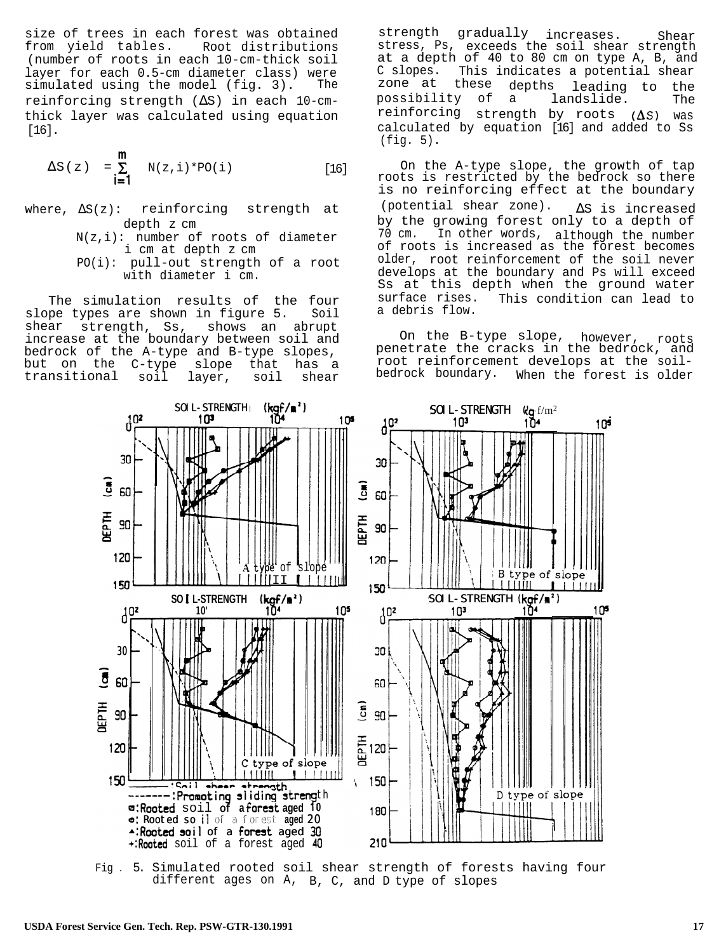size of trees in each forest was obtained from yield tables. Root distributions (number of roots in each 10-cm-thick soil layer for each 0.5-cm diameter class) were simulated using the model (fig. 3). The reinforcing strength (∆S) in each 10-cmthick layer was calculated using equation [16].

$$
\Delta S(z) = \sum_{i=1}^{m} N(z, i) * PO(i)
$$
 [16]

- where, ∆S(z): reinforcing strength at depth z cm
	- $N(z,i):$  number of roots of diameter i cm at depth z cm
	- PO(i): pull-out strength of a root with diameter i cm.

The simulation results of the four slope types are shown in figure 5. Soil shear strength, Ss, shows an abrupt increase at the boundary between soil and bedrock of the A-type and B-type slopes,<br>but on the C-type slope that has a but on the C-type slope that has a<br>transitional soil layer, soil shear transitional

strength gradually increases. Shear stress, Ps, exceeds the soil shear strength at a depth of 40 to 80 cm on type A, B, and C slopes. zone at This indicates a potential shear these depths possibility of a leading to the landslide. The reinforcing strength by roots  $(\Delta S)$  was calculated by equation [16] and added to Ss (fig. 5).

On the A-type slope, the growth of tap roots is restricted by the bedrock so there is no reinforcing effect at the boundary (potential shear zone). ∆S is increased by the growing forest only to a depth of 70 cm. In other words, although the number of roots is increased as the forest becomes older, root reinforcement of the soil never develops at the boundary and Ps will exceed Ss at this depth when the ground water surface rises. This condition can lead to a debris flow.

On the B-type slope, however, roots penetrate the cracks in the bedrock, and root reinforcement develops at the soilbedrock boundary. When the forest is older



Fig . 5. Simulated rooted soil shear strength of forests having four different ages on A, B, C, and D type of slopes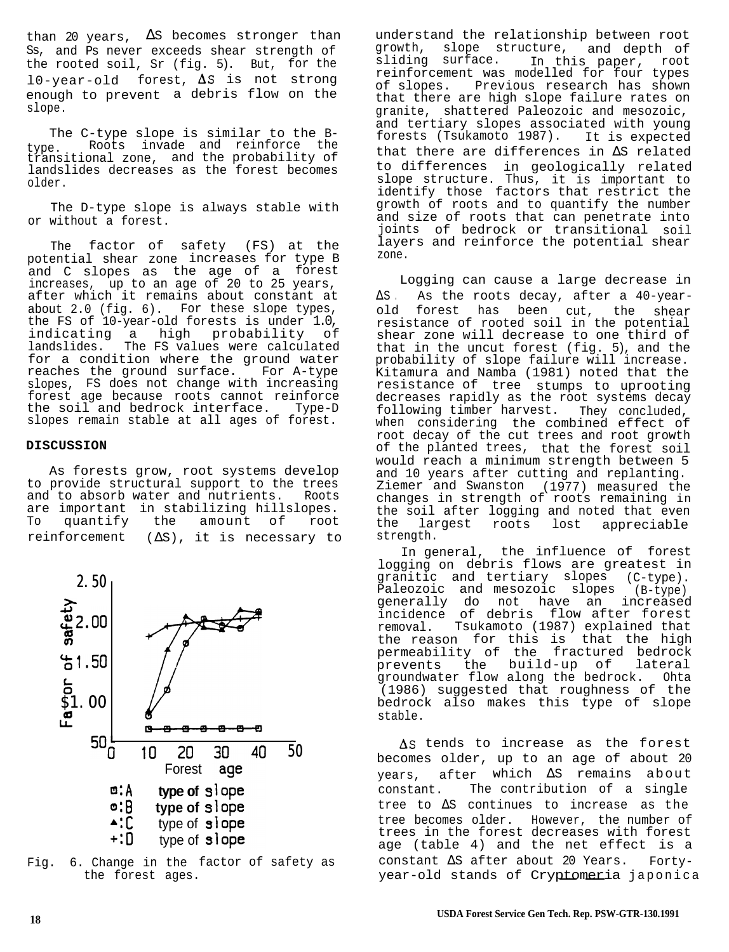than 20 years,  $\Delta S$  becomes stronger than Ss, and Ps never exceeds shear strength of the rooted soil, Sr (fig. 5). But, for the  $10$ -year-old forest,  $\Delta S$  is not strong enough to prevent a debris flow on the slope.

The C-type slope is similar to the Btype. Roots invade and reinforce the transitional zone, and the probability of landslides decreases as the forest becomes older.

The D-type slope is always stable with or without a forest.

The factor of safety (FS) at the potential shear zone increases for type B and C slopes as the age of a forest increases, up to an age of 20 to 25 years, after which it remains about constant at about 2.0 (fig. 6). For these slope types, the FS of 10-year-old forests is under 1.0, indicating a high probability of landslides. The FS values were calculated for a condition where the ground water<br>reaches the ground surface. For A-type reaches the ground surface. slopes, FS does not change with increasing forest age because roots cannot reinforce the soil and bedrock interface. Type-D slopes remain stable at all ages of forest.

## **DISCUSSION**

As forests grow, root systems develop to provide structural support to the trees<br>and to absorb water and nutrients. Roots and to absorb water and nutrients. are important in stabilizing hillslopes. To quantify the amount of root reinforcement  $(\Delta S)$ , it is necessary to



Fig. 6. Change in the factor of safety as the forest ages.

understand the relationship between root growth, slope structure, and depth of<br>sliding surface. In this paper, root In this paper, root reinforcement was modelled for four types of slopes. Previous research has shown that there are high slope failure rates on granite, shattered Paleozoic and mesozoic, and tertiary slopes associated with young forests (Tsukamoto 1987). It is expected that there are differences in ∆S related to differences in geologically related slope structure. Thus, it is important to identify those factors that restrict the growth of roots and to quantify the number and size of roots that can penetrate into joints of bedrock or transitional soil layers and reinforce the potential shear zone.

Logging can cause a large decrease in ∆S . As the roots decay, after a 40-yearold forest has been cut, the shear resistance of rooted soil in the potential shear zone will decrease to one third of that in the uncut forest (fig. 5), and the probability of slope failure will increase. Kitamura and Namba (1981) noted that the resistance of tree stumps to uprooting decreases rapidly as the root systems decay following timber harvest. They concluded, when considering the combined effect of root decay of the cut trees and root growth of the planted trees, that the forest soil would reach a minimum strength between 5 and 10 years after cutting and replanting. Ziemer and Swanston (1977) measured the changes in strength of roots remaining in the soil after logging and noted that even the largest roots lost appreciable strength.

In general, the influence of forest logging on debris flows are greatest in granitic and tertiary slopes (C-type). Paleozoic and mesozoic slopes (B-type) generally do not have an increased incidence of debris flow after forest removal. Tsukamoto (1987) explained that the reason for this is that the high permeability of the fractured bedrock prevents the build-up of lateral groundwater flow along the bedrock. Ohta (1986) suggested that roughness of the bedrock also makes this type of slope stable.

 $\Delta S$  tends to increase as the forest becomes older, up to an age of about 20 years, after which ∆S remains about constant. The contribution of a single tree to ∆S continues to increase as the tree becomes older. However, the number of trees in the forest decreases with forest age (table 4) and the net effect is a constant ∆S after about 20 Years. Fortyyear-old stands of Cryptomeria japonica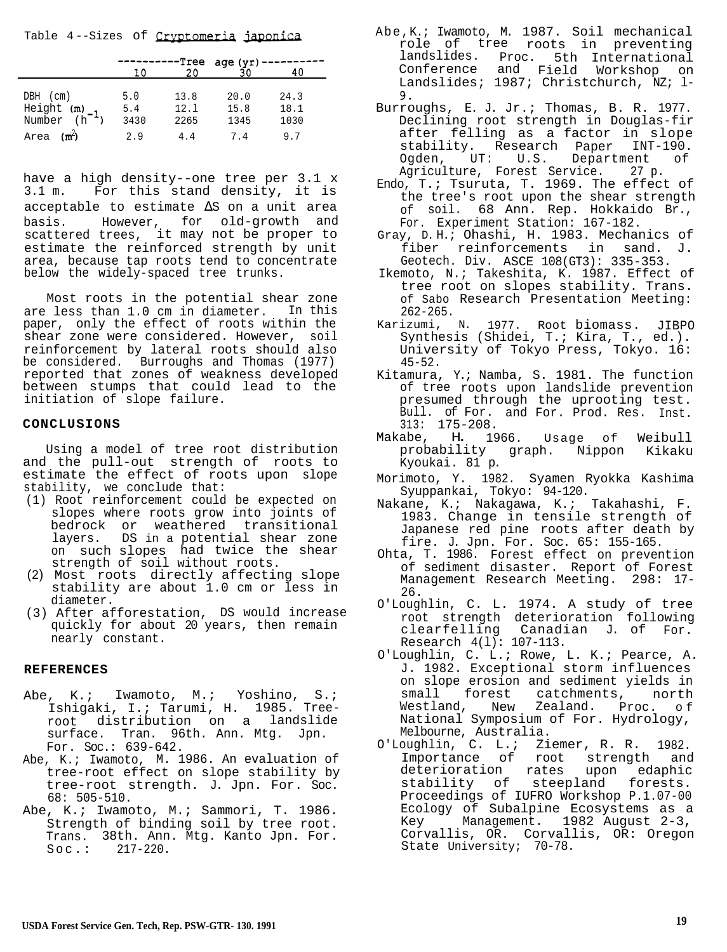Table 4--Sizes of Cryptomeria japonica

|                                                    | 1 በ                | 20                   | -Tree age (yr)       | 40                   |
|----------------------------------------------------|--------------------|----------------------|----------------------|----------------------|
| $DBH$ (cm)<br>Height $(m)$ -1<br>Number $(h^{-1})$ | 5.0<br>5.4<br>3430 | 13.8<br>12.1<br>2265 | 20.0<br>15.8<br>1345 | 24.3<br>18.1<br>1030 |
| (m <sup>2</sup> )<br>Area                          | 2.9                | 4.4                  | 7.4                  | 9.7                  |

have a high density--one tree per 3.1 x 3.1 m. For this stand density, it is acceptable to estimate ∆S on a unit area basis. However, for old-growth and scattered trees, it may not be proper to estimate the reinforced strength by unit area, because tap roots tend to concentrate below the widely-spaced tree trunks.

Most roots in the potential shear zone are less than 1.0 cm in diameter. In this paper, only the effect of roots within the shear zone were considered. However, soil reinforcement by lateral roots should also be considered. Burroughs and Thomas (1977) reported that zones of weakness developed between stumps that could lead to the initiation of slope failure.

## **CONCLUSIONS**

Using a model of tree root distribution and the pull-out strength of roots to estimate the effect of roots upon slope stability, we conclude that:

- (1) Root reinforcement could be expected on slopes where roots grow into joints of bedrock or weathered transitional layers. DS in a potential shear zone on such slopes had twice the shear strength of soil without roots.
- (2) Most roots directly affecting slope stability are about 1.0 cm or less in diameter.
- (3) After afforestation, DS would increase quickly for about 20 years, then remain nearly constant.

## **REFERENCES**

- Abe, K.; Iwamoto, M.; Yoshino, S.; Ishigaki, I.; Tarumi, H. 1985. Treeroot distribution on a landslide surface. Tran. 96th. Ann. Mtg. Jpn. For. Soc.: 639-642.
- Abe, K.; Iwamoto, M. 1986. An evaluation of tree-root effect on slope stability by tree-root strength. J. Jpn. For. Soc. 68: 505-510.
- Abe, K.; Iwamoto, M.; Sammori, T. 1986. Strength of binding soil by tree root. Trans. 38th. Ann. Mtg. Kanto Jpn. For.  $Soc.: 217-220.$
- Abe,K.; Iwamoto, M. 1987. Soil mechanical role of tree roots in preventing landslides. Proc. 5th International Conference and Field Workshop on Landslides; 1987; Christchurch, NZ; l-9.
	- Burroughs, E. J. Jr.; Thomas, B. R. 1977. Declining root strength in Douglas-fir after felling as a factor in slope stability. Research Paper INT-190. Ogden, UT: U.S. Department of Agriculture, Forest Service. 27 p.
	- Endo, T.; Tsuruta, T. 1969. The effect of the tree's root upon the shear strength of soil. 68 Ann. Rep. Hokkaido Br., For. Experiment Station: 167-182.
	- Gray, D. H.; Ohashi, H. 1983. Mechanics of fiber reinforcements in sand. J. Geotech. Div. ASCE 108(GT3): 335-353.
	- Ikemoto, N.; Takeshita, K. 1987. Effect of tree root on slopes stability. Trans. of Sabo Research Presentation Meeting: 262-265.
	- Karizumi, N. 1977. Root biomass. JIBPO Synthesis (Shidei, T.; Kira, T., ed.). University of Tokyo Press, Tokyo. 16: 45-52.
	- Kitamura, Y.; Namba, S. 1981. The function of tree roots upon landslide prevention presumed through the uprooting test. Bull. of For. and For. Prod. Res. Inst. 313: 175-208.
	- Makabe, H. 1966. Usage of Weibull probability graph. Nippon Kikaku Kyoukai. 81 p.
	- Morimoto, Y. 1982. Syamen Ryokka Kashima Syuppankai, Tokyo: 94-120.
	- Nakane, K.; Nakagawa, K.; Takahashi, F. 1983. Change in tensile strength of Japanese red pine roots after death by fire. J. Jpn. For. Soc. 65: 155-165.
	- Ohta, T. 1986. Forest effect on prevention of sediment disaster. Report of Forest Management Research Meeting. 298: 17- 26.
	- O'Loughlin, C. L. 1974. A study of tree root strength deterioration following clearfelling Canadian J. of For. Research 4(l): 107-113.
	- O'Loughlin, C. L.; Rowe, L. K.; Pearce, A. J. 1982. Exceptional storm influences on slope erosion and sediment yields in small forest catchments, north<br>Westland, New Zealand. Proc. of New Zealand. Proc. of National Symposium of For. Hydrology, Melbourne, Australia.
	- O'Loughlin, C. L.; Ziemer, R. R. 1982. Importance of root strength and deterioration rates upon edaphic stability of steepland forests. Proceedings of IUFRO Workshop P.1.07-00 Ecology of Subalpine Ecosystems as a Key Management. 1982 August 2-3, Corvallis, OR. Corvallis, OR: Oregon State University; 70-78.